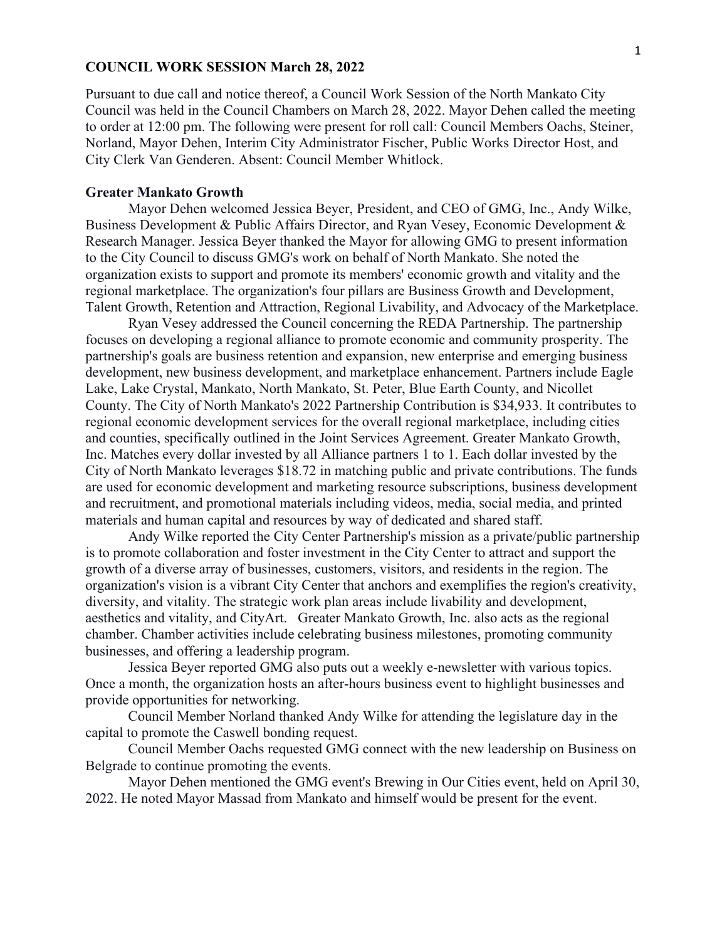### **COUNCIL WORK SESSION March 28, 2022**

Pursuant to due call and notice thereof, a Council Work Session of the North Mankato City Council was held in the Council Chambers on March 28, 2022. Mayor Dehen called the meeting to order at 12:00 pm. The following were present for roll call: Council Members Oachs, Steiner, Norland, Mayor Dehen, Interim City Administrator Fischer, Public Works Director Host, and City Clerk Van Genderen. Absent: Council Member Whitlock.

## **Greater Mankato Growth**

Mayor Dehen welcomed Jessica Beyer, President, and CEO of GMG, Inc., Andy Wilke, Business Development & Public Affairs Director, and Ryan Vesey, Economic Development & Research Manager. Jessica Beyer thanked the Mayor for allowing GMG to present information to the City Council to discuss GMG's work on behalf of North Mankato. She noted the organization exists to support and promote its members' economic growth and vitality and the regional marketplace. The organization's four pillars are Business Growth and Development, Talent Growth, Retention and Attraction, Regional Livability, and Advocacy of the Marketplace.

Ryan Vesey addressed the Council concerning the REDA Partnership. The partnership focuses on developing a regional alliance to promote economic and community prosperity. The partnership's goals are business retention and expansion, new enterprise and emerging business development, new business development, and marketplace enhancement. Partners include Eagle Lake, Lake Crystal, Mankato, North Mankato, St. Peter, Blue Earth County, and Nicollet County. The City of North Mankato's 2022 Partnership Contribution is \$34,933. It contributes to regional economic development services for the overall regional marketplace, including cities and counties, specifically outlined in the Joint Services Agreement. Greater Mankato Growth, Inc. Matches every dollar invested by all Alliance partners 1 to 1. Each dollar invested by the City of North Mankato leverages \$18.72 in matching public and private contributions. The funds are used for economic development and marketing resource subscriptions, business development and recruitment, and promotional materials including videos, media, social media, and printed materials and human capital and resources by way of dedicated and shared staff.

Andy Wilke reported the City Center Partnership's mission as a private/public partnership is to promote collaboration and foster investment in the City Center to attract and support the growth of a diverse array of businesses, customers, visitors, and residents in the region. The organization's vision is a vibrant City Center that anchors and exemplifies the region's creativity, diversity, and vitality. The strategic work plan areas include livability and development, aesthetics and vitality, and CityArt. Greater Mankato Growth, Inc. also acts as the regional chamber. Chamber activities include celebrating business milestones, promoting community businesses, and offering a leadership program.

Jessica Beyer reported GMG also puts out a weekly e-newsletter with various topics. Once a month, the organization hosts an after-hours business event to highlight businesses and provide opportunities for networking.

Council Member Norland thanked Andy Wilke for attending the legislature day in the capital to promote the Caswell bonding request.

Council Member Oachs requested GMG connect with the new leadership on Business on Belgrade to continue promoting the events.

Mayor Dehen mentioned the GMG event's Brewing in Our Cities event, held on April 30, 2022. He noted Mayor Massad from Mankato and himself would be present for the event.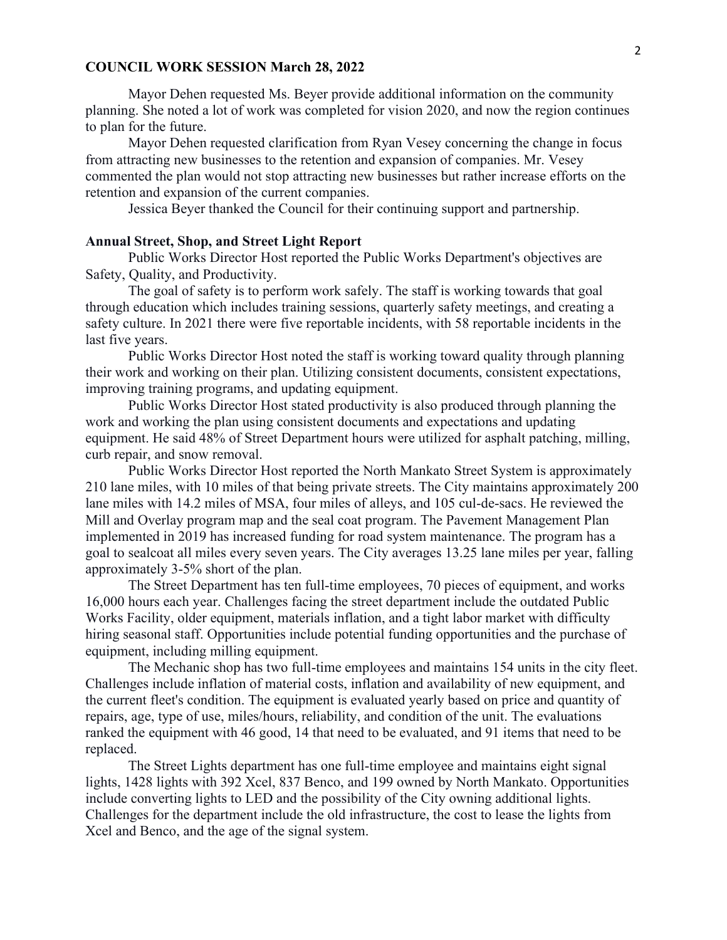### **COUNCIL WORK SESSION March 28, 2022**

Mayor Dehen requested Ms. Beyer provide additional information on the community planning. She noted a lot of work was completed for vision 2020, and now the region continues to plan for the future.

Mayor Dehen requested clarification from Ryan Vesey concerning the change in focus from attracting new businesses to the retention and expansion of companies. Mr. Vesey commented the plan would not stop attracting new businesses but rather increase efforts on the retention and expansion of the current companies.

Jessica Beyer thanked the Council for their continuing support and partnership.

# **Annual Street, Shop, and Street Light Report**

Public Works Director Host reported the Public Works Department's objectives are Safety, Quality, and Productivity.

The goal of safety is to perform work safely. The staff is working towards that goal through education which includes training sessions, quarterly safety meetings, and creating a safety culture. In 2021 there were five reportable incidents, with 58 reportable incidents in the last five years.

Public Works Director Host noted the staff is working toward quality through planning their work and working on their plan. Utilizing consistent documents, consistent expectations, improving training programs, and updating equipment.

Public Works Director Host stated productivity is also produced through planning the work and working the plan using consistent documents and expectations and updating equipment. He said 48% of Street Department hours were utilized for asphalt patching, milling, curb repair, and snow removal.

Public Works Director Host reported the North Mankato Street System is approximately 210 lane miles, with 10 miles of that being private streets. The City maintains approximately 200 lane miles with 14.2 miles of MSA, four miles of alleys, and 105 cul-de-sacs. He reviewed the Mill and Overlay program map and the seal coat program. The Pavement Management Plan implemented in 2019 has increased funding for road system maintenance. The program has a goal to sealcoat all miles every seven years. The City averages 13.25 lane miles per year, falling approximately 3-5% short of the plan.

The Street Department has ten full-time employees, 70 pieces of equipment, and works 16,000 hours each year. Challenges facing the street department include the outdated Public Works Facility, older equipment, materials inflation, and a tight labor market with difficulty hiring seasonal staff. Opportunities include potential funding opportunities and the purchase of equipment, including milling equipment.

The Mechanic shop has two full-time employees and maintains 154 units in the city fleet. Challenges include inflation of material costs, inflation and availability of new equipment, and the current fleet's condition. The equipment is evaluated yearly based on price and quantity of repairs, age, type of use, miles/hours, reliability, and condition of the unit. The evaluations ranked the equipment with 46 good, 14 that need to be evaluated, and 91 items that need to be replaced.

The Street Lights department has one full-time employee and maintains eight signal lights, 1428 lights with 392 Xcel, 837 Benco, and 199 owned by North Mankato. Opportunities include converting lights to LED and the possibility of the City owning additional lights. Challenges for the department include the old infrastructure, the cost to lease the lights from Xcel and Benco, and the age of the signal system.